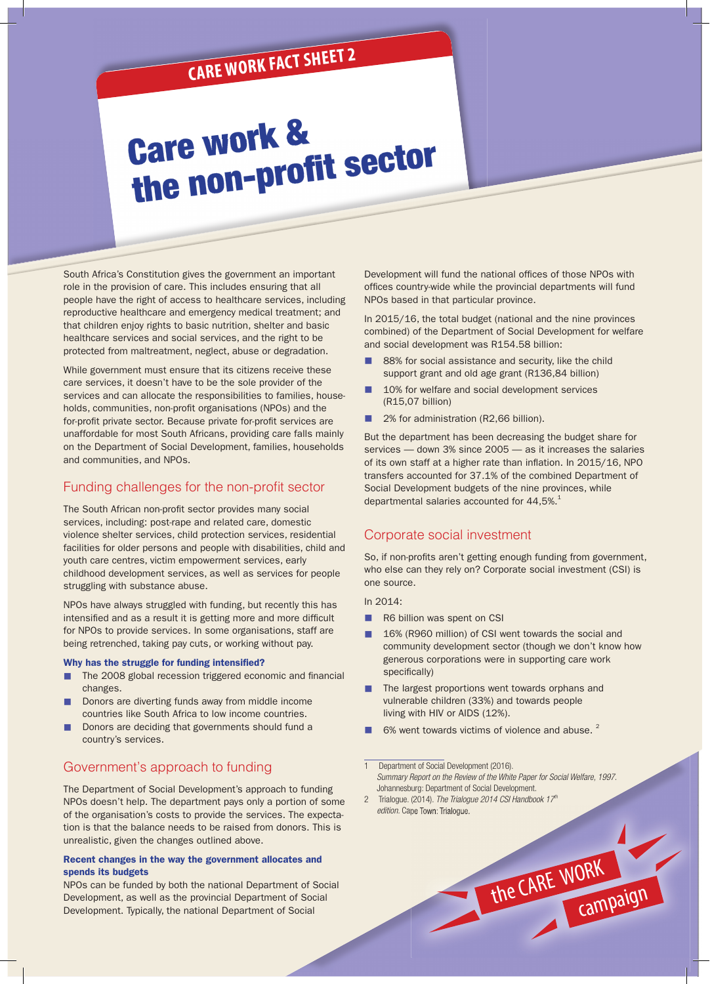## **CARE WORK FACT SHEET 2**

# Care work & the non-profit sector

South Africa's Constitution gives the government an important role in the provision of care. This includes ensuring that all people have the right of access to healthcare services, including reproductive healthcare and emergency medical treatment; and that children enjoy rights to basic nutrition, shelter and basic healthcare services and social services, and the right to be protected from maltreatment, neglect, abuse or degradation.

While government must ensure that its citizens receive these care services, it doesn't have to be the sole provider of the services and can allocate the responsibilities to families, households, communities, non-profit organisations (NPOs) and the for-profit private sector. Because private for-profit services are unaffordable for most South Africans, providing care falls mainly on the Department of Social Development, families, households and communities, and NPOs.

## Funding challenges for the non-profit sector

The South African non-profit sector provides many social services, including: post-rape and related care, domestic violence shelter services, child protection services, residential facilities for older persons and people with disabilities, child and youth care centres, victim empowerment services, early childhood development services, as well as services for people struggling with substance abuse.

NPOs have always struggled with funding, but recently this has intensified and as a result it is getting more and more difficult for NPOs to provide services. In some organisations, staff are being retrenched, taking pay cuts, or working without pay.

#### Why has the struggle for funding intensified?

- The 2008 global recession triggered economic and financial changes.
- Donors are diverting funds away from middle income countries like South Africa to low income countries.
- Donors are deciding that governments should fund a country's services.

## Government's approach to funding

The Department of Social Development's approach to funding NPOs doesn't help. The department pays only a portion of some of the organisation's costs to provide the services. The expectation is that the balance needs to be raised from donors. This is unrealistic, given the changes outlined above.

#### Recent changes in the way the government allocates and spends its budgets

NPOs can be funded by both the national Department of Social Development, as well as the provincial Department of Social Development. Typically, the national Department of Social

Development will fund the national offices of those NPOs with offices country-wide while the provincial departments will fund NPOs based in that particular province.

In 2015/16, the total budget (national and the nine provinces combined) of the Department of Social Development for welfare and social development was R154.58 billion:

- 88% for social assistance and security, like the child support grant and old age grant (R136,84 billion)
- 10% for welfare and social development services (R15,07 billion)
- 2% for administration (R2,66 billion).

But the department has been decreasing the budget share for services — down 3% since 2005 — as it increases the salaries of its own staff at a higher rate than inflation. In 2015/16, NPO transfers accounted for 37.1% of the combined Department of Social Development budgets of the nine provinces, while departmental salaries accounted for  $44,5\%$ .<sup>1</sup>

### Corporate social investment

So, if non-profits aren't getting enough funding from government, who else can they rely on? Corporate social investment (CSI) is one source.

In 2014:

- **n** R6 billion was spent on CSI
- 16% (R960 million) of CSI went towards the social and community development sector (though we don't know how generous corporations were in supporting care work specifically)
- The largest proportions went towards orphans and vulnerable children (33%) and towards people living with HIV or AIDS (12%).
- 6% went towards victims of violence and abuse. <sup>2</sup>

Department of Social Development (2016). *Summary Report on the Review of the White Paper for Social Welfare, 1997.* Johannesburg: Department of Social Development.

the CARE WORK

campaign

2 Trialogue. (2014). *The Trialogue 2014 CSI Handbook 17th edition.* Cape Town: Trialogue.